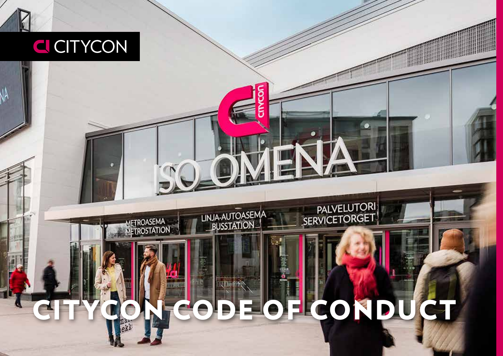

NÅ

# DE OF CONDUCT

PALVELUTORI<br>SERVICETORGET

CITYCON

LINJA-AUTOASEMA

**KITE** 

METROASEMA ETROSTATION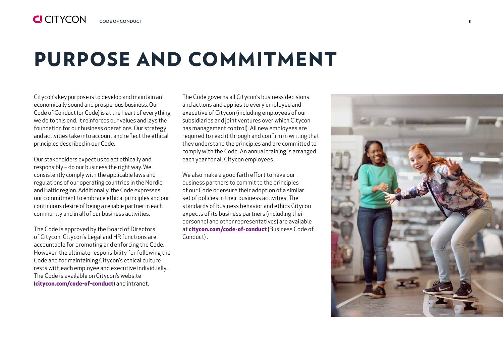#### PURPOSE AND COMMITMENT

Citycon's key purpose is to develop and maintain an economically sound and prosperous business. Our Code of Conduct (or Code) is at the heart of everything we do to this end. It reinforces our values and lays the foundation for our business operations. Our strategy and activities take into account and reflect the ethical principles described in our Code.

Our stakeholders expect us to act ethically and responsibly – do our business the right way. We consistently comply with the applicable laws and regulations of our operating countries in the Nordic and Baltic region. Additionally, the Code expresses our commitment to embrace ethical principles and our continuous desire of being a reliable partner in each community and in all of our business activities.

The Code is approved by the Board of Directors of Citycon. Citycon's Legal and HR functions are accountable for promoting and enforcing the Code. However, the ultimate responsibility for following the Code and for maintaining Citycon's ethical culture rests with each employee and executive individually. The Code is available on Citycon's website (**[citycon.com/code-of-conduct](http://citycon.com/code-of-conduct)**) and intranet.

The Code governs all Citycon's business decisions and actions and applies to every employee and executive of Citycon (including employees of our subsidiaries and joint ventures over which Citycon has management control). All new employees are required to read it through and confirm in writing that they understand the principles and are committed to comply with the Code. An annual training is arranged each year for all Citycon employees.

We also make a good faith effort to have our business partners to commit to the principles of our Code or ensure their adoption of a similar set of policies in their business activities. The standards of business behavior and ethics Citycon expects of its business partners (including their personnel and other representatives) are available at **[citycon.com/code-of-conduct](http://citycon.com/code-of-conduct)** (Business Code of Conduct) .

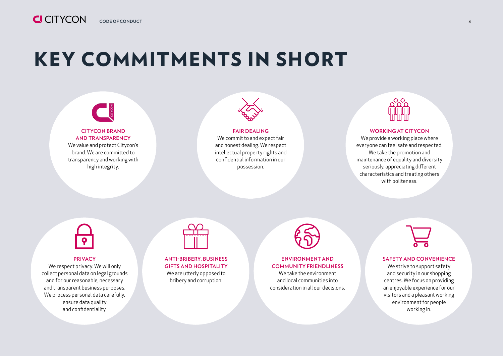### KEY COMMITMENTS IN SHORT



#### **PRIVACY**

We respect privacy. We will only collect personal data on legal grounds and for our reasonable, necessary and transparent business purposes. We process personal data carefully, ensure data quality and confidentiality.



#### **ANTI-BRIBERY, BUSINESS GIFTS AND HOSPITALITY**  We are utterly opposed to bribery and corruption.



#### **ENVIRONMENT AND COMMUNITY FRIENDLINESS**

We take the environment and local communities into consideration in all our decisions.

#### **SAFETY AND CONVENIENCE**

We strive to support safety and security in our shopping centres. We focus on providing an enjoyable experience for our visitors and a pleasant working environment for people working in.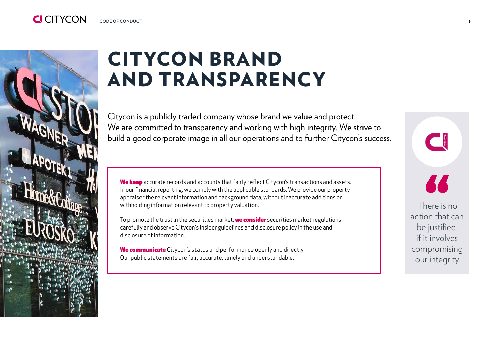

#### CITYCON BRAND AND TRANSPARENCY

Citycon is a publicly traded company whose brand we value and protect. We are committed to transparency and working with high integrity. We strive to build a good corporate image in all our operations and to further Citycon's success.

We keep accurate records and accounts that fairly reflect Citycon's transactions and assets. In our financial reporting, we comply with the applicable standards. We provide our property appraiser the relevant information and background data, without inaccurate additions or withholding information relevant to property valuation.

To promote the trust in the securities market, **we consider** securities market regulations carefully and observe Citycon's insider guidelines and disclosure policy in the use and disclosure of information.

We communicate Citycon's status and performance openly and directly. Our public statements are fair, accurate, timely and understandable.

 $\overline{a}$ 66 There is no action that can be justified, if it involves compromising our integrity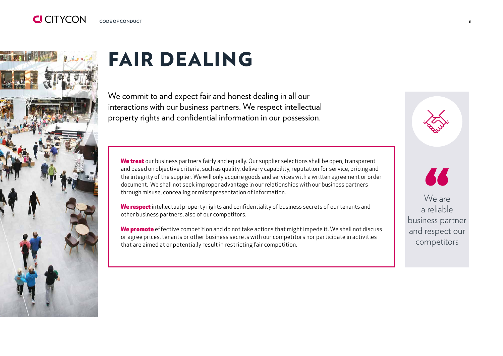

## FAIR DEALING

We commit to and expect fair and honest dealing in all our interactions with our business partners. We respect intellectual property rights and confidential information in our possession.

We treat our business partners fairly and equally. Our supplier selections shall be open, transparent and based on objective criteria, such as quality, delivery capability, reputation for service, pricing and the integrity of the supplier. We will only acquire goods and services with a written agreement or order document. We shall not seek improper advantage in our relationships with our business partners through misuse, concealing or misrepresentation of information.

We respect intellectual property rights and confidentiality of business secrets of our tenants and other business partners, also of our competitors.

We promote effective competition and do not take actions that might impede it. We shall not discuss or agree prices, tenants or other business secrets with our competitors nor participate in activities that are aimed at or potentially result in restricting fair competition.

66 We are a reliable business partner and respect our

competitors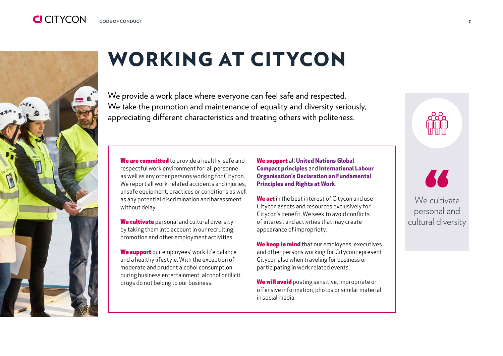

### WORKING AT CITYCON

We provide a work place where everyone can feel safe and respected. We take the promotion and maintenance of equality and diversity seriously, appreciating different characteristics and treating others with politeness.

We are committed to provide a healthy, safe and respectful work environment for all personnel as well as any other persons working for Citycon. We report all work-related accidents and injuries, unsafe equipment, practices or conditions as well as any potential discrimination and harassment without delay.

We cultivate personal and cultural diversity by taking them into account in our recruiting, promotion and other employment activities.

We support our employees' work-life balance and a healthy lifestyle. With the exception of moderate and prudent alcohol consumption during business entertainment, alcohol or illicit drugs do not belong to our business.

We support all **[United Nations Global](https://www.unglobalcompact.org/what-is-gc/mission/principles)  [Compact principles](https://www.unglobalcompact.org/what-is-gc/mission/principles)** and **[International Labour](http://www.ilo.org/declaration/lang--en/index.htm)  [Organisation's Declaration on Fundamental](http://www.ilo.org/declaration/lang--en/index.htm)  [Principles and Rights at Work](http://www.ilo.org/declaration/lang--en/index.htm)**.

We act in the best interest of Citycon and use Citycon assets and resources exclusively for Citycon's benefit. We seek to avoid conflicts of interest and activities that may create appearance of impropriety.

We keep in mind that our employees, executives and other persons working for Citycon represent Citycon also when traveling for business or participating in work related events.

We will avoid posting sensitive, impropriate or offensive information, photos or similar material in social media.





We cultivate personal and cultural diversity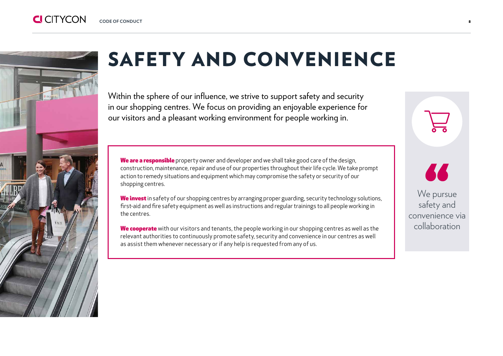

## SAFETY AND CONVENIENCE

Within the sphere of our influence, we strive to support safety and security in our shopping centres. We focus on providing an enjoyable experience for our visitors and a pleasant working environment for people working in.

We are a responsible property owner and developer and we shall take good care of the design, construction, maintenance, repair and use of our properties throughout their life cycle. We take prompt action to remedy situations and equipment which may compromise the safety or security of our shopping centres.

We invest in safety of our shopping centres by arranging proper guarding, security technology solutions, first-aid and fire safety equipment as well as instructions and regular trainings to all people working in the centres.

We cooperate with our visitors and tenants, the people working in our shopping centres as well as the relevant authorities to continuously promote safety, security and convenience in our centres as well as assist them whenever necessary or if any help is requested from any of us.

66 We pursue safety and convenience via

collaboration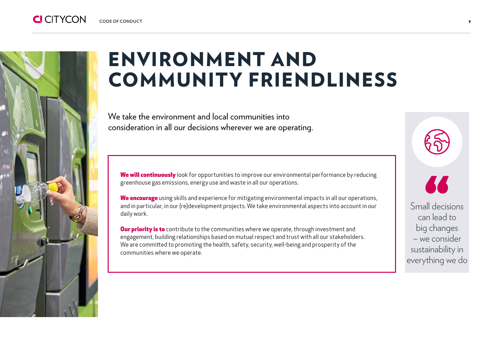

#### ENVIRONMENT AND COMMUNITY FRIENDLINESS

We take the environment and local communities into consideration in all our decisions wherever we are operating.

We will continuously look for opportunities to improve our environmental performance by reducing greenhouse gas emissions, energy use and waste in all our operations.

We encourage using skills and experience for mitigating environmental impacts in all our operations, and in particular, in our (re)development projects. We take environmental aspects into account in our daily work.

**Our priority is to** contribute to the communities where we operate, through investment and engagement, building relationships based on mutual respect and trust with all our stakeholders. We are committed to promoting the health, safety, security, well-being and prosperity of the communities where we operate.

66 Small decisions can lead to big changes – we consider sustainability in everything we do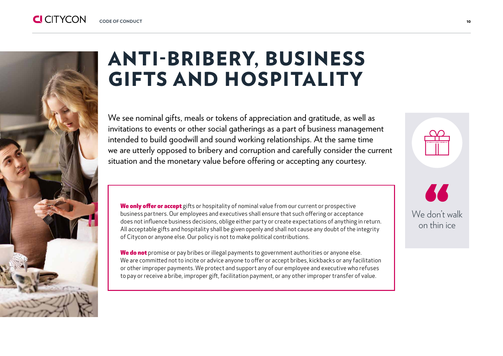

**CICITYCON** 

#### ANTI-BRIBERY, BUSINESS GIFTS AND HOSPITALITY

We see nominal gifts, meals or tokens of appreciation and gratitude, as well as invitations to events or other social gatherings as a part of business management intended to build goodwill and sound working relationships. At the same time we are utterly opposed to bribery and corruption and carefully consider the current situation and the monetary value before offering or accepting any courtesy.

We only offer or accept gifts or hospitality of nominal value from our current or prospective business partners. Our employees and executives shall ensure that such offering or acceptance does not influence business decisions, oblige either party or create expectations of anything in return. All acceptable gifts and hospitality shall be given openly and shall not cause any doubt of the integrity of Citycon or anyone else. Our policy is not to make political contributions.

We do not promise or pay bribes or illegal payments to government authorities or anyone else. We are committed not to incite or advice anyone to offer or accept bribes, kickbacks or any facilitation or other improper payments. We protect and support any of our employee and executive who refuses to pay or receive a bribe, improper gift, facilitation payment, or any other improper transfer of value.

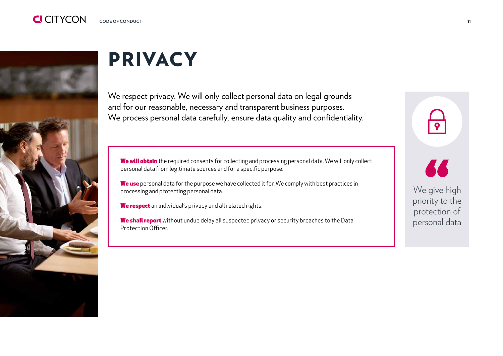

### PRIVACY

We respect privacy. We will only collect personal data on legal grounds and for our reasonable, necessary and transparent business purposes. We process personal data carefully, ensure data quality and confidentiality.

We will obtain the required consents for collecting and processing personal data. We will only collect personal data from legitimate sources and for a specific purpose.

We use personal data for the purpose we have collected it for. We comply with best practices in processing and protecting personal data.

We respect an individual's privacy and all related rights.

We shall report without undue delay all suspected privacy or security breaches to the Data Protection Officer.

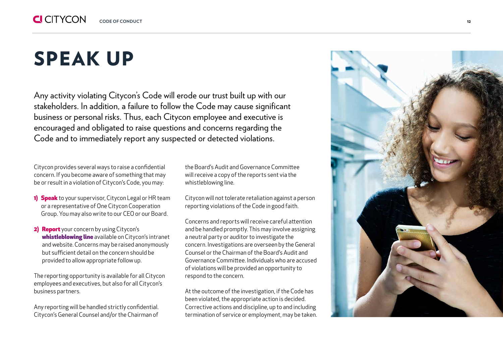### SPEAK UP

Any activity violating Citycon's Code will erode our trust built up with our stakeholders. In addition, a failure to follow the Code may cause significant business or personal risks. Thus, each Citycon employee and executive is encouraged and obligated to raise questions and concerns regarding the Code and to immediately report any suspected or detected violations.

Citycon provides several ways to raise a confidential concern. If you become aware of something that may be or result in a violation of Citycon's Code, you may:

- 1) **Speak** to your supervisor, Citycon Legal or HR team or a representative of One Citycon Cooperation Group. You may also write to our CEO or our Board.
- 2) Report your concern by using Citycon's [whistleblowing line](https://www.citycon.com/sustainability/code-of-conduct/report-a-violation-page-en) available on Citycon's intranet and website. Concerns may be raised anonymously but sufficient detail on the concern should be provided to allow appropriate follow up.

The reporting opportunity is available for all Citycon employees and executives, but also for all Citycon's business partners.

Any reporting will be handled strictly confidential. Citycon's General Counsel and/or the Chairman of

the Board's Audit and Governance Committee will receive a copy of the reports sent via the whistleblowing line.

Citycon will not tolerate retaliation against a person reporting violations of the Code in good faith.

Concerns and reports will receive careful attention and be handled promptly. This may involve assigning a neutral party or auditor to investigate the concern. Investigations are overseen by the General Counsel or the Chairman of the Board's Audit and Governance Committee. Individuals who are accused of violations will be provided an opportunity to respond to the concern.

At the outcome of the investigation, if the Code has been violated, the appropriate action is decided. Corrective actions and discipline, up to and including termination of service or employment, may be taken.